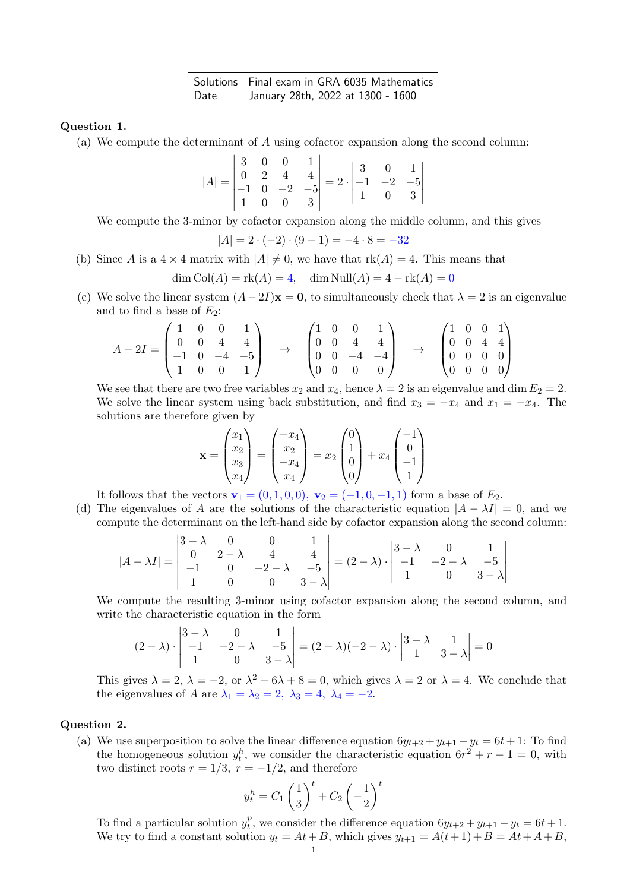Solutions Final exam in GRA 6035 Mathematics Date January 28th, 2022 at 1300 - 1600

## Question 1.

(a) We compute the determinant of A using cofactor expansion along the second column:

$$
|A| = \begin{vmatrix} 3 & 0 & 0 & 1 \\ 0 & 2 & 4 & 4 \\ -1 & 0 & -2 & -5 \\ 1 & 0 & 0 & 3 \end{vmatrix} = 2 \cdot \begin{vmatrix} 3 & 0 & 1 \\ -1 & -2 & -5 \\ 1 & 0 & 3 \end{vmatrix}
$$

We compute the 3-minor by cofactor expansion along the middle column, and this gives

$$
|A| = 2 \cdot (-2) \cdot (9 - 1) = -4 \cdot 8 = -32
$$

(b) Since A is a  $4 \times 4$  matrix with  $|A| \neq 0$ , we have that  $rk(A) = 4$ . This means that

$$
\dim \text{Col}(A) = \text{rk}(A) = 4, \quad \dim \text{Null}(A) = 4 - \text{rk}(A) = 0
$$

(c) We solve the linear system  $(A-2I)\mathbf{x} = \mathbf{0}$ , to simultaneously check that  $\lambda = 2$  is an eigenvalue and to find a base of  $E_2$ :

$$
A - 2I = \begin{pmatrix} 1 & 0 & 0 & 1 \\ 0 & 0 & 4 & 4 \\ -1 & 0 & -4 & -5 \\ 1 & 0 & 0 & 1 \end{pmatrix} \rightarrow \begin{pmatrix} 1 & 0 & 0 & 1 \\ 0 & 0 & 4 & 4 \\ 0 & 0 & -4 & -4 \\ 0 & 0 & 0 & 0 \end{pmatrix} \rightarrow \begin{pmatrix} 1 & 0 & 0 & 1 \\ 0 & 0 & 4 & 4 \\ 0 & 0 & 0 & 0 \\ 0 & 0 & 0 & 0 \end{pmatrix}
$$

We see that there are two free variables  $x_2$  and  $x_4$ , hence  $\lambda = 2$  is an eigenvalue and dim  $E_2 = 2$ . We solve the linear system using back substitution, and find  $x_3 = -x_4$  and  $x_1 = -x_4$ . The solutions are therefore given by

$$
\mathbf{x} = \begin{pmatrix} x_1 \\ x_2 \\ x_3 \\ x_4 \end{pmatrix} = \begin{pmatrix} -x_4 \\ x_2 \\ -x_4 \\ x_4 \end{pmatrix} = x_2 \begin{pmatrix} 0 \\ 1 \\ 0 \\ 0 \end{pmatrix} + x_4 \begin{pmatrix} -1 \\ 0 \\ -1 \\ 1 \end{pmatrix}
$$

It follows that the vectors  $\mathbf{v}_1 = (0, 1, 0, 0), \mathbf{v}_2 = (-1, 0, -1, 1)$  form a base of  $E_2$ .

(d) The eigenvalues of A are the solutions of the characteristic equation  $|A - \lambda I| = 0$ , and we compute the determinant on the left-hand side by cofactor expansion along the second column:

$$
|A - \lambda I| = \begin{vmatrix} 3 - \lambda & 0 & 0 & 1 \\ 0 & 2 - \lambda & 4 & 4 \\ -1 & 0 & -2 - \lambda & -5 \\ 1 & 0 & 0 & 3 - \lambda \end{vmatrix} = (2 - \lambda) \cdot \begin{vmatrix} 3 - \lambda & 0 & 1 \\ -1 & -2 - \lambda & -5 \\ 1 & 0 & 3 - \lambda \end{vmatrix}
$$

We compute the resulting 3-minor using cofactor expansion along the second column, and write the characteristic equation in the form

$$
(2-\lambda) \cdot \begin{vmatrix} 3-\lambda & 0 & 1 \\ -1 & -2-\lambda & -5 \\ 1 & 0 & 3-\lambda \end{vmatrix} = (2-\lambda)(-2-\lambda) \cdot \begin{vmatrix} 3-\lambda & 1 \\ 1 & 3-\lambda \end{vmatrix} = 0
$$

This gives  $\lambda = 2$ ,  $\lambda = -2$ , or  $\lambda^2 - 6\lambda + 8 = 0$ , which gives  $\lambda = 2$  or  $\lambda = 4$ . We conclude that the eigenvalues of A are  $\lambda_1 = \lambda_2 = 2$ ,  $\lambda_3 = 4$ ,  $\lambda_4 = -2$ .

## Question 2.

(a) We use superposition to solve the linear difference equation  $6y_{t+2} + y_{t+1} - y_t = 6t + 1$ : To find the homogeneous solution  $y_t^h$ , we consider the characteristic equation  $6r^2 + r - 1 = 0$ , with two distinct roots  $r = 1/3$ ,  $r = -1/2$ , and therefore

$$
y_t^h = C_1 \left(\frac{1}{3}\right)^t + C_2 \left(-\frac{1}{2}\right)^t
$$

To find a particular solution  $y_t^p$ <sup>p</sup>, we consider the difference equation  $6y_{t+2} + y_{t+1} - y_t = 6t + 1$ . We try to find a constant solution  $y_t = At + B$ , which gives  $y_{t+1} = A(t+1) + B = At + A + B$ ,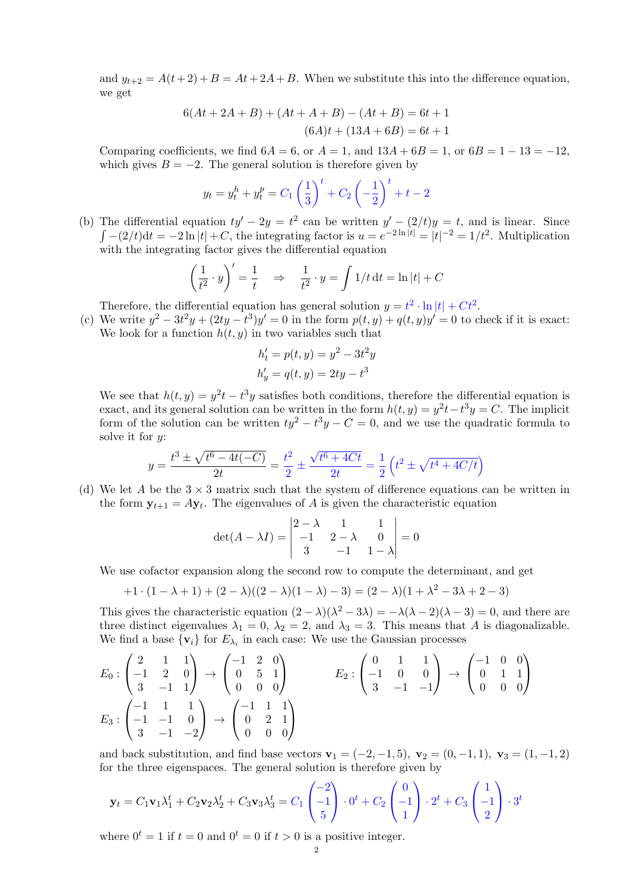and  $y_{t+2} = A(t+2)+B = At+2A+B$ . When we substitute this into the difference equation, we get

$$
6(At + 2A + B) + (At + A + B) - (At + B) = 6t + 1
$$
  

$$
(6A)t + (13A + 6B) = 6t + 1
$$

Comparing coefficients, we find  $6A = 6$ , or  $A = 1$ , and  $13A + 6B = 1$ , or  $6B = 1 - 13 = -12$ , which gives  $B = -2$ . The general solution is therefore given by

$$
y_t = y_t^h + y_t^p = C_1 \left(\frac{1}{3}\right)^t + C_2 \left(-\frac{1}{2}\right)^t + t - 2
$$

(b) The differential equation  $ty' - 2y = t^2$  can be written  $y' - (2/t)y = t$ , and is linear. Since  $\int -(2/t)dt = -2\ln |t| + C$ , the integrating factor is  $u = e^{-2\ln |t|} = |t|^{-2} = 1/t^2$ . Multiplication with the integrating factor gives the differential equation

$$
\left(\frac{1}{t^2} \cdot y\right)' = \frac{1}{t} \quad \Rightarrow \quad \frac{1}{t^2} \cdot y = \int 1/t \, \mathrm{d}t = \ln|t| + C
$$

Therefore, the differential equation has general solution  $y = t^2 \cdot \ln|t| + Ct^2$ .

(c) We write  $y^2 - 3t^2y + (2ty - t^3)y' = 0$  in the form  $p(t, y) + q(t, y)y' = 0$  to check if it is exact: We look for a function  $h(t, y)$  in two variables such that

$$
h'_t = p(t, y) = y^2 - 3t^2y
$$
  

$$
h'_y = q(t, y) = 2ty - t^3
$$

We see that  $h(t, y) = y^2t - t^3y$  satisfies both conditions, therefore the differential equation is exact, and its general solution can be written in the form  $h(t, y) = y^2t - t^3y = C$ . The implicit form of the solution can be written  $ty^2 - t^3y - C = 0$ , and we use the quadratic formula to solve it for  $y$ :

$$
y = \frac{t^3 \pm \sqrt{t^6 - 4t(-C)}}{2t} = \frac{t^2}{2} \pm \frac{\sqrt{t^6 + 4Ct}}{2t} = \frac{1}{2} \left( t^2 \pm \sqrt{t^4 + 4C/t} \right)
$$

(d) We let A be the  $3 \times 3$  matrix such that the system of difference equations can be written in the form  $y_{t+1} = Ay_t$ . The eigenvalues of A is given the characteristic equation

$$
\det(A - \lambda I) = \begin{vmatrix} 2 - \lambda & 1 & 1 \\ -1 & 2 - \lambda & 0 \\ 3 & -1 & 1 - \lambda \end{vmatrix} = 0
$$

We use cofactor expansion along the second row to compute the determinant, and get

$$
+1 \cdot (1 - \lambda + 1) + (2 - \lambda)((2 - \lambda)(1 - \lambda) - 3) = (2 - \lambda)(1 + \lambda^2 - 3\lambda + 2 - 3)
$$

This gives the characteristic equation  $(2 - \lambda)(\lambda^2 - 3\lambda) = -\lambda(\lambda - 2)(\lambda - 3) = 0$ , and there are three distinct eigenvalues  $\lambda_1 = 0$ ,  $\lambda_2 = 2$ , and  $\lambda_3 = 3$ . This means that A is diagonalizable. We find a base  $\{v_i\}$  for  $E_{\lambda_i}$  in each case: We use the Gaussian processes

$$
E_0: \begin{pmatrix} 2 & 1 & 1 \\ -1 & 2 & 0 \\ 3 & -1 & 1 \end{pmatrix} \rightarrow \begin{pmatrix} -1 & 2 & 0 \\ 0 & 5 & 1 \\ 0 & 0 & 0 \end{pmatrix} \qquad E_2: \begin{pmatrix} 0 & 1 & 1 \\ -1 & 0 & 0 \\ 3 & -1 & -1 \end{pmatrix} \rightarrow \begin{pmatrix} -1 & 0 & 0 \\ 0 & 1 & 1 \\ 0 & 0 & 0 \end{pmatrix}
$$

$$
E_3: \begin{pmatrix} -1 & 1 & 1 \\ -1 & -1 & 0 \\ 3 & -1 & -2 \end{pmatrix} \rightarrow \begin{pmatrix} -1 & 1 & 1 \\ 0 & 2 & 1 \\ 0 & 0 & 0 \end{pmatrix}
$$

and back substitution, and find base vectors  $v_1 = (-2, -1, 5)$ ,  $v_2 = (0, -1, 1)$ ,  $v_3 = (1, -1, 2)$ for the three eigenspaces. The general solution is therefore given by

$$
\mathbf{y}_t = C_1 \mathbf{v}_1 \lambda_1^t + C_2 \mathbf{v}_2 \lambda_2^t + C_3 \mathbf{v}_3 \lambda_3^t = C_1 \begin{pmatrix} -2 \\ -1 \\ 5 \end{pmatrix} \cdot 0^t + C_2 \begin{pmatrix} 0 \\ -1 \\ 1 \end{pmatrix} \cdot 2^t + C_3 \begin{pmatrix} 1 \\ -1 \\ 2 \end{pmatrix} \cdot 3^t
$$

where  $0^t = 1$  if  $t = 0$  and  $0^t = 0$  if  $t > 0$  is a positive integer.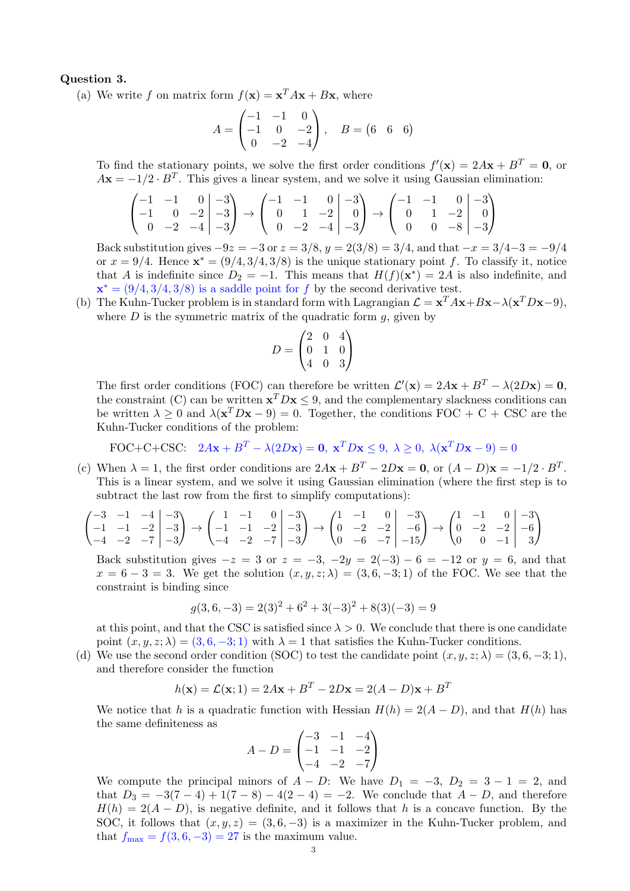## Question 3.

(a) We write f on matrix form  $f(\mathbf{x}) = \mathbf{x}^T A \mathbf{x} + B \mathbf{x}$ , where

$$
A = \begin{pmatrix} -1 & -1 & 0 \\ -1 & 0 & -2 \\ 0 & -2 & -4 \end{pmatrix}, \quad B = \begin{pmatrix} 6 & 6 & 6 \end{pmatrix}
$$

To find the stationary points, we solve the first order conditions  $f'(\mathbf{x}) = 2A\mathbf{x} + B^T = \mathbf{0}$ , or  $A\mathbf{x} = -1/2 \cdot B^{T}$ . This gives a linear system, and we solve it using Gaussian elimination:

$$
\begin{pmatrix} -1 & -1 & 0 & | & -3 \ -1 & 0 & -2 & | & -3 \ 0 & -2 & -4 & | & -3 \ \end{pmatrix} \rightarrow \begin{pmatrix} -1 & -1 & 0 & | & -3 \ 0 & 1 & -2 & | & 0 \ 0 & -2 & -4 & | & -3 \ \end{pmatrix} \rightarrow \begin{pmatrix} -1 & -1 & 0 & | & -3 \ 0 & 1 & -2 & | & 0 \ 0 & 0 & -8 & | & -3 \ \end{pmatrix}
$$

Back substitution gives  $-9z = -3$  or  $z = 3/8$ ,  $y = 2(3/8) = 3/4$ , and that  $-x = 3/4-3 = -9/4$ or  $x = 9/4$ . Hence  $\mathbf{x}^* = (9/4, 3/4, 3/8)$  is the unique stationary point f. To classify it, notice that A is indefinite since  $D_2 = -1$ . This means that  $H(f)(\mathbf{x}^*) = 2A$  is also indefinite, and  $\mathbf{x}^* = (9/4, 3/4, 3/8)$  is a saddle point for f by the second derivative test.

(b) The Kuhn-Tucker problem is in standard form with Lagrangian  $\mathcal{L} = \mathbf{x}^T A \mathbf{x} + B \mathbf{x} - \lambda (\mathbf{x}^T D \mathbf{x} - 9)$ , where  $D$  is the symmetric matrix of the quadratic form  $g$ , given by

$$
D = \begin{pmatrix} 2 & 0 & 4 \\ 0 & 1 & 0 \\ 4 & 0 & 3 \end{pmatrix}
$$

The first order conditions (FOC) can therefore be written  $\mathcal{L}'(\mathbf{x}) = 2A\mathbf{x} + B^T - \lambda(2D\mathbf{x}) = \mathbf{0}$ , the constraint (C) can be written  $\mathbf{x}^T D \mathbf{x} \leq 9$ , and the complementary slackness conditions can be written  $\lambda \geq 0$  and  $\lambda(\mathbf{x}^T D\mathbf{x} - 9) = 0$ . Together, the conditions FOC + C + CSC are the Kuhn-Tucker conditions of the problem:

FOC+C+CSC: 
$$
2A\mathbf{x} + B^T - \lambda(2D\mathbf{x}) = \mathbf{0}, \mathbf{x}^T D\mathbf{x} \le 9, \lambda \ge 0, \lambda(\mathbf{x}^T D\mathbf{x} - 9) = 0
$$

(c) When  $\lambda = 1$ , the first order conditions are  $2A\mathbf{x} + B^T - 2D\mathbf{x} = \mathbf{0}$ , or  $(A - D)\mathbf{x} = -1/2 \cdot B^T$ . This is a linear system, and we solve it using Gaussian elimination (where the first step is to subtract the last row from the first to simplify computations):

$$
\begin{pmatrix} -3 & -1 & -4 & -3 \ -1 & -1 & -2 & -3 \ -4 & -2 & -7 & -3 \end{pmatrix} \rightarrow \begin{pmatrix} 1 & -1 & 0 & -3 \ -1 & -1 & -2 & -3 \ -4 & -2 & -7 & -3 \end{pmatrix} \rightarrow \begin{pmatrix} 1 & -1 & 0 & -3 \ 0 & -2 & -2 & -6 \ 0 & -6 & -7 & -15 \end{pmatrix} \rightarrow \begin{pmatrix} 1 & -1 & 0 & -3 \ 0 & -2 & -2 & -6 \ 0 & 0 & -1 & 3 \end{pmatrix}
$$

Back substitution gives  $-z = 3$  or  $z = -3$ ,  $-2y = 2(-3) - 6 = -12$  or  $y = 6$ , and that  $x = 6 - 3 = 3$ . We get the solution  $(x, y, z; \lambda) = (3, 6, -3; 1)$  of the FOC. We see that the constraint is binding since

$$
g(3,6,-3) = 2(3)^{2} + 6^{2} + 3(-3)^{2} + 8(3)(-3) = 9
$$

at this point, and that the CSC is satisfied since  $\lambda > 0$ . We conclude that there is one candidate point  $(x, y, z; \lambda) = (3, 6, -3; 1)$  with  $\lambda = 1$  that satisfies the Kuhn-Tucker conditions.

(d) We use the second order condition (SOC) to test the candidate point  $(x, y, z; \lambda) = (3, 6, -3; 1)$ , and therefore consider the function

$$
h(\mathbf{x}) = \mathcal{L}(\mathbf{x}; 1) = 2A\mathbf{x} + B^T - 2D\mathbf{x} = 2(A - D)\mathbf{x} + B^T
$$

We notice that h is a quadratic function with Hessian  $H(h) = 2(A - D)$ , and that  $H(h)$  has the same definiteness as

$$
A - D = \begin{pmatrix} -3 & -1 & -4 \\ -1 & -1 & -2 \\ -4 & -2 & -7 \end{pmatrix}
$$

We compute the principal minors of  $A - D$ : We have  $D_1 = -3$ ,  $D_2 = 3 - 1 = 2$ , and that  $D_3 = -3(7-4) + 1(7-8) - 4(2-4) = -2$ . We conclude that  $A - D$ , and therefore  $H(h) = 2(A - D)$ , is negative definite, and it follows that h is a concave function. By the SOC, it follows that  $(x, y, z) = (3, 6, -3)$  is a maximizer in the Kuhn-Tucker problem, and that  $f_{\text{max}} = f(3, 6, -3) = 27$  is the maximum value.